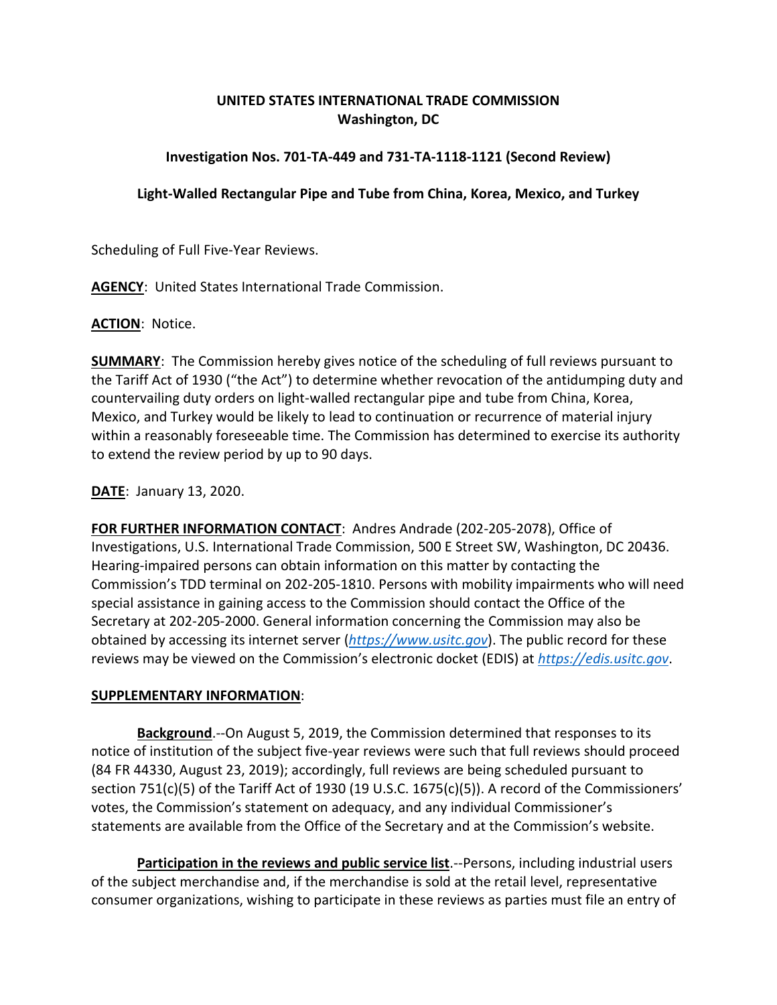## **UNITED STATES INTERNATIONAL TRADE COMMISSION Washington, DC**

## **Investigation Nos. 701-TA-449 and 731-TA-1118-1121 (Second Review)**

## **Light-Walled Rectangular Pipe and Tube from China, Korea, Mexico, and Turkey**

Scheduling of Full Five-Year Reviews.

**AGENCY**: United States International Trade Commission.

**ACTION**: Notice.

**SUMMARY**: The Commission hereby gives notice of the scheduling of full reviews pursuant to the Tariff Act of 1930 ("the Act") to determine whether revocation of the antidumping duty and countervailing duty orders on light-walled rectangular pipe and tube from China, Korea, Mexico, and Turkey would be likely to lead to continuation or recurrence of material injury within a reasonably foreseeable time. The Commission has determined to exercise its authority to extend the review period by up to 90 days.

**DATE**: January 13, 2020.

**FOR FURTHER INFORMATION CONTACT**: Andres Andrade (202-205-2078), Office of Investigations, U.S. International Trade Commission, 500 E Street SW, Washington, DC 20436. Hearing-impaired persons can obtain information on this matter by contacting the Commission's TDD terminal on 202-205-1810. Persons with mobility impairments who will need special assistance in gaining access to the Commission should contact the Office of the Secretary at 202-205-2000. General information concerning the Commission may also be obtained by accessing its internet server (*[https://www.usitc.gov](https://www.usitc.gov/)*). The public record for these reviews may be viewed on the Commission's electronic docket (EDIS) at *[https://edis.usitc.gov](https://edis.usitc.gov/)*.

## **SUPPLEMENTARY INFORMATION**:

**Background**.--On August 5, 2019, the Commission determined that responses to its notice of institution of the subject five-year reviews were such that full reviews should proceed (84 FR 44330, August 23, 2019); accordingly, full reviews are being scheduled pursuant to section 751(c)(5) of the Tariff Act of 1930 (19 U.S.C. 1675(c)(5)). A record of the Commissioners' votes, the Commission's statement on adequacy, and any individual Commissioner's statements are available from the Office of the Secretary and at the Commission's website.

**Participation in the reviews and public service list**.--Persons, including industrial users of the subject merchandise and, if the merchandise is sold at the retail level, representative consumer organizations, wishing to participate in these reviews as parties must file an entry of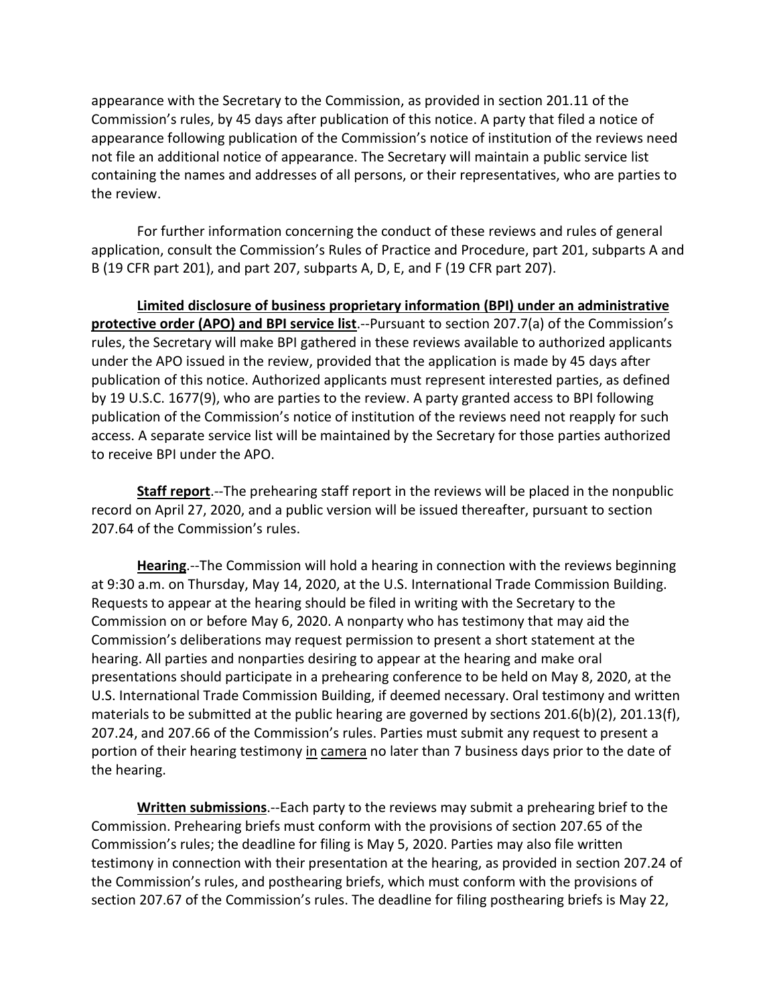appearance with the Secretary to the Commission, as provided in section 201.11 of the Commission's rules, by 45 days after publication of this notice. A party that filed a notice of appearance following publication of the Commission's notice of institution of the reviews need not file an additional notice of appearance. The Secretary will maintain a public service list containing the names and addresses of all persons, or their representatives, who are parties to the review.

For further information concerning the conduct of these reviews and rules of general application, consult the Commission's Rules of Practice and Procedure, part 201, subparts A and B (19 CFR part 201), and part 207, subparts A, D, E, and F (19 CFR part 207).

**Limited disclosure of business proprietary information (BPI) under an administrative protective order (APO) and BPI service list**.--Pursuant to section 207.7(a) of the Commission's rules, the Secretary will make BPI gathered in these reviews available to authorized applicants under the APO issued in the review, provided that the application is made by 45 days after publication of this notice. Authorized applicants must represent interested parties, as defined by 19 U.S.C. 1677(9), who are parties to the review. A party granted access to BPI following publication of the Commission's notice of institution of the reviews need not reapply for such access. A separate service list will be maintained by the Secretary for those parties authorized to receive BPI under the APO.

**Staff report**.--The prehearing staff report in the reviews will be placed in the nonpublic record on April 27, 2020, and a public version will be issued thereafter, pursuant to section 207.64 of the Commission's rules.

**Hearing**.--The Commission will hold a hearing in connection with the reviews beginning at 9:30 a.m. on Thursday, May 14, 2020, at the U.S. International Trade Commission Building. Requests to appear at the hearing should be filed in writing with the Secretary to the Commission on or before May 6, 2020. A nonparty who has testimony that may aid the Commission's deliberations may request permission to present a short statement at the hearing. All parties and nonparties desiring to appear at the hearing and make oral presentations should participate in a prehearing conference to be held on May 8, 2020, at the U.S. International Trade Commission Building, if deemed necessary. Oral testimony and written materials to be submitted at the public hearing are governed by sections 201.6(b)(2), 201.13(f), 207.24, and 207.66 of the Commission's rules. Parties must submit any request to present a portion of their hearing testimony in camera no later than 7 business days prior to the date of the hearing.

**Written submissions**.--Each party to the reviews may submit a prehearing brief to the Commission. Prehearing briefs must conform with the provisions of section 207.65 of the Commission's rules; the deadline for filing is May 5, 2020. Parties may also file written testimony in connection with their presentation at the hearing, as provided in section 207.24 of the Commission's rules, and posthearing briefs, which must conform with the provisions of section 207.67 of the Commission's rules. The deadline for filing posthearing briefs is May 22,